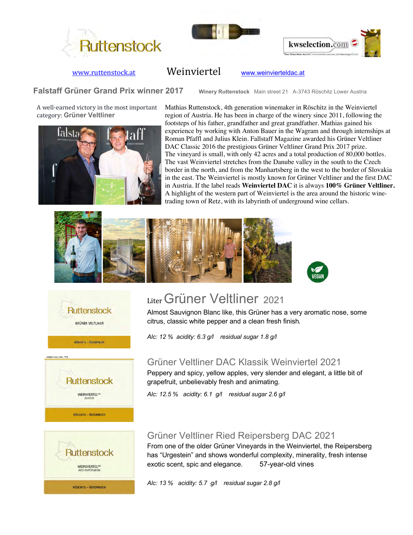





## www.ruttenstock.at Weinviertel www.weinvierteldac.at

**Falstaff Grüner Grand Prix winner 2017** Winery Ruttenstock Main street 21 A-3743 Röschitz Lower Austria

A well-earned victory in the most important category: **Grüner Veltliner**



Mathias Ruttenstock, 4th generation winemaker in Röschitz in the Weinviertel region of Austria. He has been in charge of the winery since 2011, following the footsteps of his father, grandfather and great grandfather. Mathias gained his experience by working with Anton Bauer in the Wagram and through internships at Roman Pfaffl and Julius Klein. Fallstaff Magazine awarded his Grüner Veltliner DAC Classic 2016 the prestigious Grüner Veltliner Grand Prix 2017 prize. The vineyard is small, with only 42 acres and a total production of 80,000 bottles. The vast Weinviertel stretches from the Danube valley in the south to the Czech border in the north, and from the Manhartsberg in the west to the border of Slovakia in the east. The Weinviertel is mostly known for Grüner Veltliner and the first DAC in Austria. If the label reads **Weinviertel DAC** it is always **100% Grüner Veltliner.** A highlight of the western part of Weinviertel is the area around the historic winetrading town of Retz, with its labyrinth of underground wine cellars.









# Liter Grüner Veltliner 2021

Almost Sauvignon Blanc like, this Grüner has a very aromatic nose, some citrus, classic white pepper and a clean fresh finish. 

*Alc: 12 % acidity: 6.3 g/l residual sugar 1.8 g/l* 

## Grüner Veltliner DAC Klassik Weinviertel 2021

Peppery and spicy, yellow apples, very slender and elegant, a little bit of grapefruit, unbelievably fresh and animating.

*Alc: 12.5 % acidity: 6.1 g/l residual sugar 2.6 g/l* 

# Grüner Veltliner Ried Reipersberg DAC 2021

From one of the older Grüner Vineyards in the Weinviertel, the Reipersberg has "Urgestein" and shows wonderful complexity, minerality, fresh intense exotic scent, spic and elegance. 57-year-old vines

*Alc: 13 % acidity: 5.7 g/l residual sugar 2.8 g/l*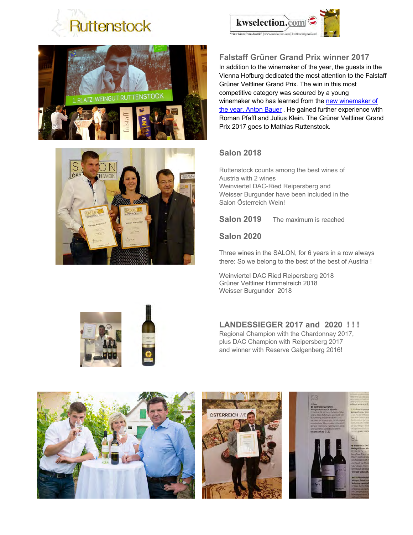







## **Falstaff Grüner Grand Prix winner 2017**

In addition to the winemaker of the year, the guests in the Vienna Hofburg dedicated the most attention to the Falstaff Grüner Veltliner Grand Prix. The win in this most competitive category was secured by a young winemaker who has learned from the new winemaker of the year, Anton Bauer. He gained further experience with Roman Pfaffl and Julius Klein. The Grüner Veltliner Grand Prix 2017 goes to Mathias Ruttenstock.

#### **Salon 2018**

Ruttenstock counts among the best wines of Austria with 2 wines Weinviertel DAC-Ried Reipersberg and Weisser Burgunder have been included in the Salon Österreich Wein!

**Salon 2019** The maximum is reached

#### **Salon 2020**

Three wines in the SALON, for 6 years in a row always there: So we belong to the best of the best of Austria ! 

Weinviertel DAC Ried Reipersberg 2018 Grüner Veltliner Himmelreich 2018 Weisser Burgunder 2018

### **LANDESSIEGER 2017 and 2020 ! ! !**

Regional Champion with the Chardonnay 2017, plus DAC Champion with Reipersberg 2017 and winner with Reserve Galgenberg 2016!